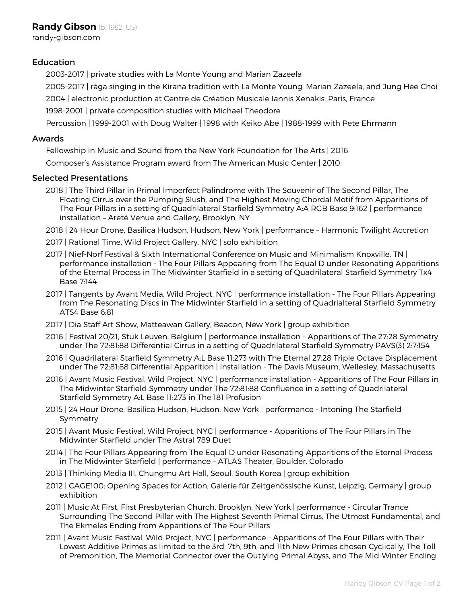# Education

2003-2017 | private studies with La Monte Young and Marian Zazeela

2005-2017 | rāga singing in the Kirana tradition with La Monte Young, Marian Zazeela, and Jung Hee Choi

2004 | electronic production at Centre de Création Musicale Iannis Xenakis, Paris, France

1998-2001 | private composition studies with Michael Theodore

Percussion | 1999-2001 with Doug Walter | 1998 with Keiko Abe | 1988-1999 with Pete Ehrmann

### Awards

Fellowship in Music and Sound from the New York Foundation for The Arts | 2016

Composer's Assistance Program award from The American Music Center | 2010

### Selected Presentations

- 2018 | The Third Pillar in Primal Imperfect Palindrome with The Souvenir of The Second Pillar, The Floating Cirrus over the Pumping Slush, and The Highest Moving Chordal Motif from Apparitions of The Four Pillars in a setting of Quadrilateral Starfield Symmetry A:A RGB Base 9:162 | performance installation – Areté Venue and Gallery, Brooklyn, NY
- 2018 | 24 Hour Drone, Basilica Hudson, Hudson, New York | performance Harmonic Twilight Accretion
- 2017 | Rational Time, Wild Project Gallery, NYC | solo exhibition
- 2017 | Nief-Norf Festival & Sixth International Conference on Music and Minimalism Knoxville, TN | performance installation - The Four Pillars Appearing from The Equal D under Resonating Apparitions of the Eternal Process in The Midwinter Starfield in a setting of Quadrilateral Starfield Symmetry Tx4 Base 7:144
- 2017 | Tangents by Avant Media, Wild Project, NYC | performance installation The Four Pillars Appearing from The Resonating Discs in The Midwinter Starfield in a setting of Quadrialteral Starfield Symmetry ATS4 Base 6:81
- 2017 | Dia Staff Art Show, Matteawan Gallery, Beacon, New York | group exhibition
- 2016 | Festival 20/21, Stuk Leuven, Belgium | performance installation Apparitions of The 27:28 Symmetry under The 72:81:88 Differential Cirrus in a setting of Quadrilateral Starfield Symmetry PAVS(3) 2:7:154
- 2016 | Quadrilateral Starfield Symmetry A:L Base 11:273 with The Eternal 27:28 Triple Octave Displacement under The 72:81:88 Differential Apparition | installation - The Davis Museum, Wellesley, Massachusetts
- 2016 | Avant Music Festival, Wild Project, NYC | performance installation Apparitions of The Four Pillars in The Midwinter Starfield Symmetry under The 72:81:88 Confluence in a setting of Quadrilateral Starfield Symmetry A:L Base 11:273 in The 181 Profusion
- 2015 | 24 Hour Drone, Basilica Hudson, Hudson, New York | performance Intoning The Starfield Symmetry
- 2015 | Avant Music Festival, Wild Project, NYC | performance Apparitions of The Four Pillars in The Midwinter Starfield under The Astral 789 Duet
- 2014 | The Four Pillars Appearing from The Equal D under Resonating Apparitions of the Eternal Process in The Midwinter Starfield | performance – ATLAS Theater, Boulder, Colorado
- 2013 | Thinking Media III, Chungmu Art Hall, Seoul, South Korea | group exhibition
- 2012 | CAGE100: Opening Spaces for Action, Galerie für Zeitgenössische Kunst, Leipzig, Germany | group exhibition
- 2011 | Music At First, First Presbyterian Church, Brooklyn, New York | performance Circular Trance Surrounding The Second Pillar with The Highest Seventh Primal Cirrus, The Utmost Fundamental, and The Ekmeles Ending from Apparitions of The Four Pillars
- 2011 | Avant Music Festival, Wild Project, NYC | performance Apparitions of The Four Pillars with Their Lowest Additive Primes as limited to the 3rd, 7th, 9th, and 11th New Primes chosen Cyclically, The Toll of Premonition, The Memorial Connector over the Outlying Primal Abyss, and The Mid-Winter Ending